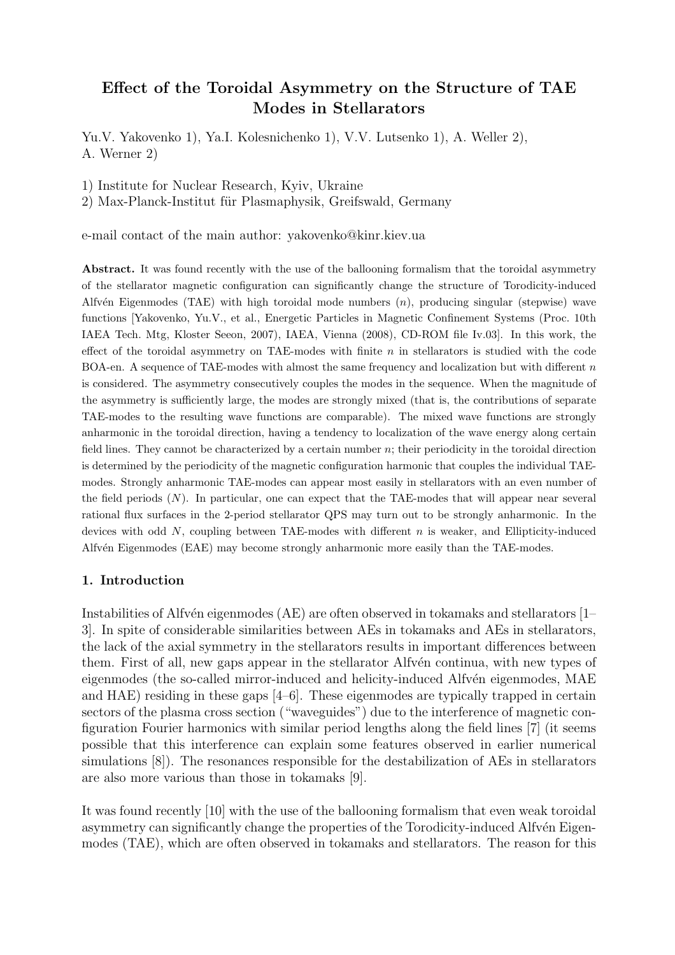# Effect of the Toroidal Asymmetry on the Structure of TAE Modes in Stellarators

Yu.V. Yakovenko 1), Ya.I. Kolesnichenko 1), V.V. Lutsenko 1), A. Weller 2), A. Werner 2)

1) Institute for Nuclear Research, Kyiv, Ukraine

2) Max-Planck-Institut für Plasmaphysik, Greifswald, Germany

e-mail contact of the main author: yakovenko@kinr.kiev.ua

Abstract. It was found recently with the use of the ballooning formalism that the toroidal asymmetry of the stellarator magnetic configuration can significantly change the structure of Torodicity-induced Alfvén Eigenmodes (TAE) with high toroidal mode numbers  $(n)$ , producing singular (stepwise) wave functions [Yakovenko, Yu.V., et al., Energetic Particles in Magnetic Confinement Systems (Proc. 10th IAEA Tech. Mtg, Kloster Seeon, 2007), IAEA, Vienna (2008), CD-ROM file Iv.03]. In this work, the effect of the toroidal asymmetry on TAE-modes with finite  $n$  in stellarators is studied with the code BOA-en. A sequence of TAE-modes with almost the same frequency and localization but with different  $n$ is considered. The asymmetry consecutively couples the modes in the sequence. When the magnitude of the asymmetry is sufficiently large, the modes are strongly mixed (that is, the contributions of separate TAE-modes to the resulting wave functions are comparable). The mixed wave functions are strongly anharmonic in the toroidal direction, having a tendency to localization of the wave energy along certain field lines. They cannot be characterized by a certain number  $n$ ; their periodicity in the toroidal direction is determined by the periodicity of the magnetic configuration harmonic that couples the individual TAEmodes. Strongly anharmonic TAE-modes can appear most easily in stellarators with an even number of the field periods (N). In particular, one can expect that the TAE-modes that will appear near several rational flux surfaces in the 2-period stellarator QPS may turn out to be strongly anharmonic. In the devices with odd  $N$ , coupling between TAE-modes with different  $n$  is weaker, and Ellipticity-induced Alfvén Eigenmodes (EAE) may become strongly anharmonic more easily than the TAE-modes.

# 1. Introduction

Instabilities of Alfvén eigenmodes (AE) are often observed in tokamaks and stellarators  $[1-$ 3]. In spite of considerable similarities between AEs in tokamaks and AEs in stellarators, the lack of the axial symmetry in the stellarators results in important differences between them. First of all, new gaps appear in the stellarator Alfvén continua, with new types of eigenmodes (the so-called mirror-induced and helicity-induced Alfv $\acute{e}$ n eigenmodes, MAE and HAE) residing in these gaps [4–6]. These eigenmodes are typically trapped in certain sectors of the plasma cross section ("waveguides") due to the interference of magnetic configuration Fourier harmonics with similar period lengths along the field lines [7] (it seems possible that this interference can explain some features observed in earlier numerical simulations [8]). The resonances responsible for the destabilization of AEs in stellarators are also more various than those in tokamaks [9].

It was found recently [10] with the use of the ballooning formalism that even weak toroidal asymmetry can significantly change the properties of the Torodicity-induced Alfv $\acute{e}$ n Eigenmodes (TAE), which are often observed in tokamaks and stellarators. The reason for this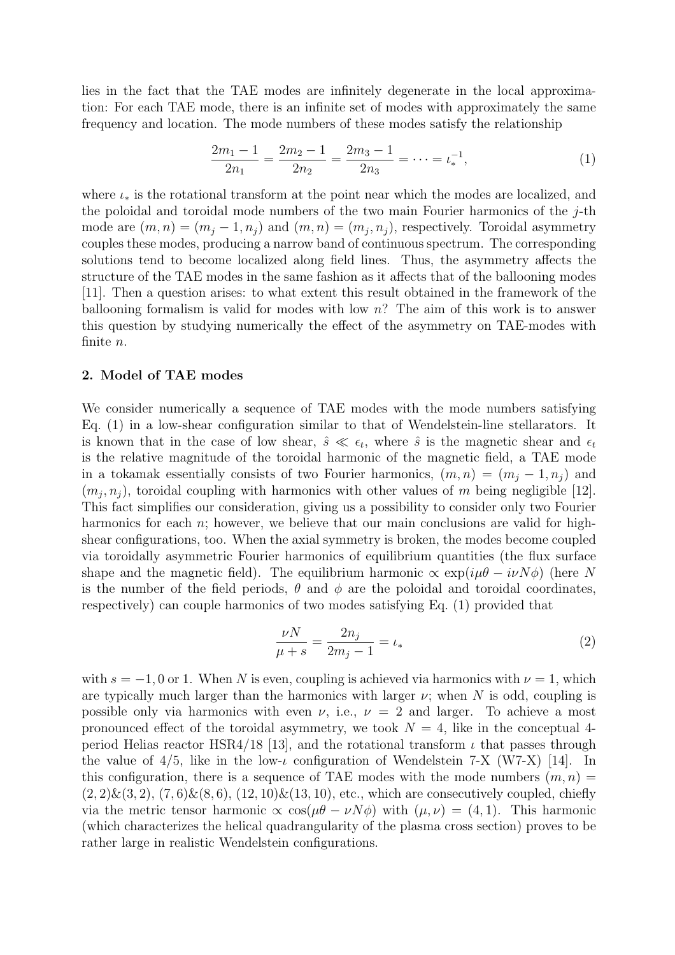lies in the fact that the TAE modes are infinitely degenerate in the local approximation: For each TAE mode, there is an infinite set of modes with approximately the same frequency and location. The mode numbers of these modes satisfy the relationship

$$
\frac{2m_1 - 1}{2n_1} = \frac{2m_2 - 1}{2n_2} = \frac{2m_3 - 1}{2n_3} = \dots = \iota_*^{-1},\tag{1}
$$

where  $\iota_*$  is the rotational transform at the point near which the modes are localized, and the poloidal and toroidal mode numbers of the two main Fourier harmonics of the  $j$ -th mode are  $(m, n) = (m_j - 1, n_j)$  and  $(m, n) = (m_j, n_j)$ , respectively. Toroidal asymmetry couples these modes, producing a narrow band of continuous spectrum. The corresponding solutions tend to become localized along field lines. Thus, the asymmetry affects the structure of the TAE modes in the same fashion as it affects that of the ballooning modes [11]. Then a question arises: to what extent this result obtained in the framework of the ballooning formalism is valid for modes with low  $n$ ? The aim of this work is to answer this question by studying numerically the effect of the asymmetry on TAE-modes with finite n.

## 2. Model of TAE modes

We consider numerically a sequence of TAE modes with the mode numbers satisfying Eq. (1) in a low-shear configuration similar to that of Wendelstein-line stellarators. It is known that in the case of low shear,  $\hat{s} \ll \epsilon_t$ , where  $\hat{s}$  is the magnetic shear and  $\epsilon_t$ is the relative magnitude of the toroidal harmonic of the magnetic field, a TAE mode in a tokamak essentially consists of two Fourier harmonics,  $(m, n) = (m<sub>j</sub> - 1, n<sub>j</sub>)$  and  $(m_j, n_j)$ , toroidal coupling with harmonics with other values of m being negligible [12]. This fact simplifies our consideration, giving us a possibility to consider only two Fourier harmonics for each  $n$ ; however, we believe that our main conclusions are valid for highshear configurations, too. When the axial symmetry is broken, the modes become coupled via toroidally asymmetric Fourier harmonics of equilibrium quantities (the flux surface shape and the magnetic field). The equilibrium harmonic  $\propto \exp(i\mu\theta - i\nu N\phi)$  (here N is the number of the field periods,  $\theta$  and  $\phi$  are the poloidal and toroidal coordinates, respectively) can couple harmonics of two modes satisfying Eq. (1) provided that

$$
\frac{\nu N}{\mu + s} = \frac{2n_j}{2m_j - 1} = \iota_*\tag{2}
$$

with  $s = -1, 0$  or 1. When N is even, coupling is achieved via harmonics with  $\nu = 1$ , which are typically much larger than the harmonics with larger  $\nu$ ; when N is odd, coupling is possible only via harmonics with even  $\nu$ , i.e.,  $\nu = 2$  and larger. To achieve a most pronounced effect of the toroidal asymmetry, we took  $N = 4$ , like in the conceptual 4period Helias reactor HSR4/18 [13], and the rotational transform  $\iota$  that passes through the value of  $4/5$ , like in the low-*ι* configuration of Wendelstein 7-X (W7-X) [14]. In this configuration, there is a sequence of TAE modes with the mode numbers  $(m, n)$  =  $(2, 2) \& (3, 2), (7, 6) \& (8, 6), (12, 10) \& (13, 10),$  etc., which are consecutively coupled, chiefly via the metric tensor harmonic  $\propto \cos(\mu\theta - \nu N\phi)$  with  $(\mu, \nu) = (4, 1)$ . This harmonic (which characterizes the helical quadrangularity of the plasma cross section) proves to be rather large in realistic Wendelstein configurations.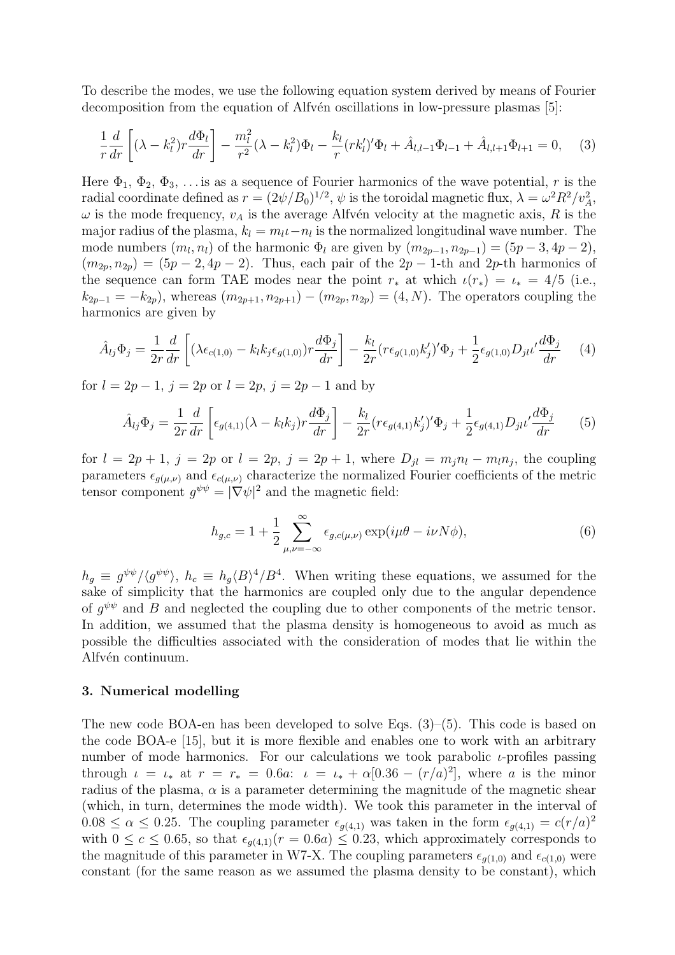To describe the modes, we use the following equation system derived by means of Fourier decomposition from the equation of Alfvén oscillations in low-pressure plasmas [5]:

$$
\frac{1}{r}\frac{d}{dr}\left[ (\lambda - k_l^2) r \frac{d\Phi_l}{dr} \right] - \frac{m_l^2}{r^2} (\lambda - k_l^2) \Phi_l - \frac{k_l}{r} (r k_l')' \Phi_l + \hat{A}_{l,l-1} \Phi_{l-1} + \hat{A}_{l,l+1} \Phi_{l+1} = 0, \quad (3)
$$

Here  $\Phi_1$ ,  $\Phi_2$ ,  $\Phi_3$ , ... is as a sequence of Fourier harmonics of the wave potential, r is the radial coordinate defined as  $r = (2\psi/B_0)^{1/2}, \psi$  is the toroidal magnetic flux,  $\lambda = \omega^2 R^2/v_A^2$ ,  $\omega$  is the mode frequency,  $v_A$  is the average Alfvén velocity at the magnetic axis, R is the major radius of the plasma,  $k_l = m_l \iota - n_l$  is the normalized longitudinal wave number. The mode numbers  $(m_l, n_l)$  of the harmonic  $\Phi_l$  are given by  $(m_{2p-1}, n_{2p-1}) = (5p-3, 4p-2)$ ,  $(m_{2p}, n_{2p}) = (5p - 2, 4p - 2)$ . Thus, each pair of the  $2p - 1$ -th and  $2p$ -th harmonics of the sequence can form TAE modes near the point  $r_*$  at which  $\iota(r_*) = \iota_* = 4/5$  (i.e.,  $k_{2p-1} = -k_{2p}$ , whereas  $(m_{2p+1}, n_{2p+1}) - (m_{2p}, n_{2p}) = (4, N)$ . The operators coupling the harmonics are given by

$$
\hat{A}_{lj}\Phi_j = \frac{1}{2r}\frac{d}{dr}\left[ (\lambda \epsilon_{c(1,0)} - k_l k_j \epsilon_{g(1,0)}) r \frac{d\Phi_j}{dr} \right] - \frac{k_l}{2r} (r \epsilon_{g(1,0)} k'_j)' \Phi_j + \frac{1}{2} \epsilon_{g(1,0)} D_{jl} \nu' \frac{d\Phi_j}{dr} \tag{4}
$$

for  $l = 2p - 1$ ,  $j = 2p$  or  $l = 2p$ ,  $j = 2p - 1$  and by

$$
\hat{A}_{lj}\Phi_j = \frac{1}{2r}\frac{d}{dr}\left[\epsilon_{g(4,1)}(\lambda - k_l k_j)r\frac{d\Phi_j}{dr}\right] - \frac{k_l}{2r}(r\epsilon_{g(4,1)}k'_j)'\Phi_j + \frac{1}{2}\epsilon_{g(4,1)}D_{jl}\iota'\frac{d\Phi_j}{dr}
$$
(5)

for  $l = 2p + 1$ ,  $j = 2p$  or  $l = 2p$ ,  $j = 2p + 1$ , where  $D_{jl} = m_j n_l - m_l n_j$ , the coupling parameters  $\epsilon_{g(\mu,\nu)}$  and  $\epsilon_{c(\mu,\nu)}$  characterize the normalized Fourier coefficients of the metric tensor component  $g^{\psi\psi} = |\nabla \psi|^2$  and the magnetic field:

$$
h_{g,c} = 1 + \frac{1}{2} \sum_{\mu,\nu=-\infty}^{\infty} \epsilon_{g,c(\mu,\nu)} \exp(i\mu\theta - i\nu N\phi), \tag{6}
$$

 $h_g \equiv g^{\psi\psi}/\langle g^{\psi\psi} \rangle$ ,  $h_c \equiv h_g \langle B \rangle^4/B^4$ . When writing these equations, we assumed for the sake of simplicity that the harmonics are coupled only due to the angular dependence of  $g^{\psi\psi}$  and B and neglected the coupling due to other components of the metric tensor. In addition, we assumed that the plasma density is homogeneous to avoid as much as possible the difficulties associated with the consideration of modes that lie within the Alfvén continuum.

#### 3. Numerical modelling

The new code BOA-en has been developed to solve Eqs. (3)–(5). This code is based on the code BOA-e [15], but it is more flexible and enables one to work with an arbitrary number of mode harmonics. For our calculations we took parabolic  $\iota$ -profiles passing through  $\iota = \iota_*$  at  $r = r_* = 0.6a$ :  $\iota = \iota_* + \alpha[0.36 - (r/a)^2]$ , where a is the minor radius of the plasma,  $\alpha$  is a parameter determining the magnitude of the magnetic shear (which, in turn, determines the mode width). We took this parameter in the interval of  $0.08 \le \alpha \le 0.25$ . The coupling parameter  $\epsilon_{g(4,1)}$  was taken in the form  $\epsilon_{g(4,1)} = c(r/a)^2$ with  $0 \leq c \leq 0.65$ , so that  $\epsilon_{g(4,1)}(r=0.6a) \leq 0.23$ , which approximately corresponds to the magnitude of this parameter in W7-X. The coupling parameters  $\epsilon_{q(1,0)}$  and  $\epsilon_{c(1,0)}$  were constant (for the same reason as we assumed the plasma density to be constant), which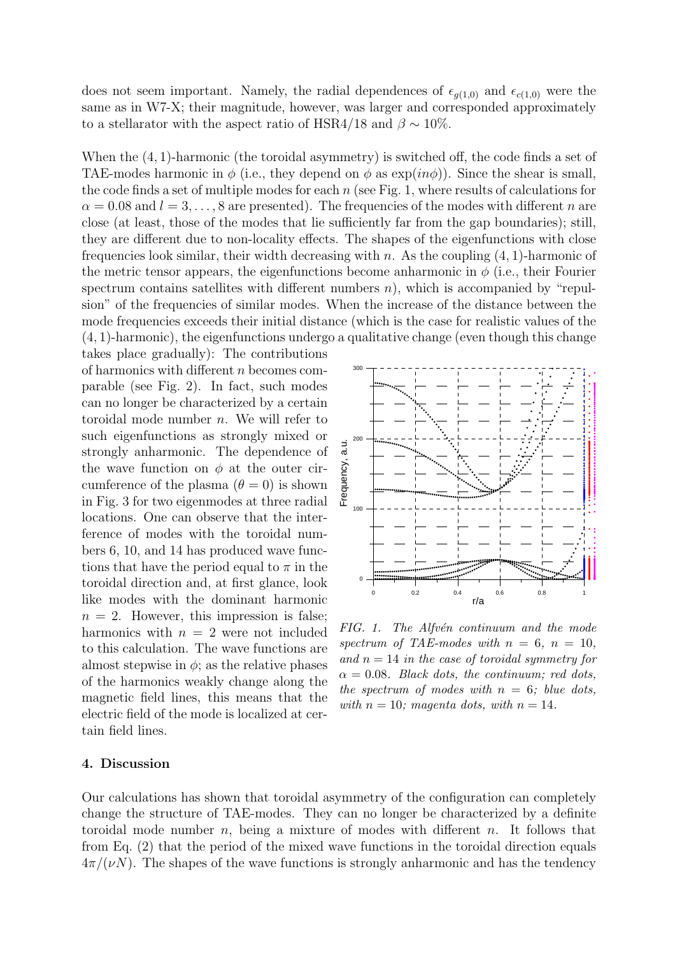does not seem important. Namely, the radial dependences of  $\epsilon_{g(1,0)}$  and  $\epsilon_{c(1,0)}$  were the same as in W7-X; their magnitude, however, was larger and corresponded approximately to a stellarator with the aspect ratio of HSR4/18 and  $\beta \sim 10\%$ .

When the (4, 1)-harmonic (the toroidal asymmetry) is switched off, the code finds a set of TAE-modes harmonic in  $\phi$  (i.e., they depend on  $\phi$  as  $\exp(in\phi))$ . Since the shear is small, the code finds a set of multiple modes for each  $n$  (see Fig. 1, where results of calculations for  $\alpha = 0.08$  and  $l = 3, \ldots, 8$  are presented). The frequencies of the modes with different n are close (at least, those of the modes that lie sufficiently far from the gap boundaries); still, they are different due to non-locality effects. The shapes of the eigenfunctions with close frequencies look similar, their width decreasing with n. As the coupling  $(4, 1)$ -harmonic of the metric tensor appears, the eigenfunctions become anharmonic in  $\phi$  (i.e., their Fourier spectrum contains satellites with different numbers  $n$ , which is accompanied by "repulsion" of the frequencies of similar modes. When the increase of the distance between the mode frequencies exceeds their initial distance (which is the case for realistic values of the (4, 1)-harmonic), the eigenfunctions undergo a qualitative change (even though this change

takes place gradually): The contributions of harmonics with different n becomes comparable (see Fig. 2). In fact, such modes can no longer be characterized by a certain toroidal mode number n. We will refer to such eigenfunctions as strongly mixed or strongly anharmonic. The dependence of the wave function on  $\phi$  at the outer circumference of the plasma  $(\theta = 0)$  is shown in Fig. 3 for two eigenmodes at three radial locations. One can observe that the interference of modes with the toroidal numbers 6, 10, and 14 has produced wave functions that have the period equal to  $\pi$  in the toroidal direction and, at first glance, look like modes with the dominant harmonic  $n = 2$ . However, this impression is false; harmonics with  $n = 2$  were not included to this calculation. The wave functions are almost stepwise in  $\phi$ ; as the relative phases of the harmonics weakly change along the magnetic field lines, this means that the electric field of the mode is localized at certain field lines.



 $FIG. 1. The Alfvén continuum and the mode$ spectrum of TAE-modes with  $n = 6$ ,  $n = 10$ . and  $n = 14$  in the case of toroidal symmetry for  $\alpha = 0.08$ . Black dots, the continuum; red dots, the spectrum of modes with  $n = 6$ ; blue dots, with  $n = 10$ ; magenta dots, with  $n = 14$ .

## 4. Discussion

Our calculations has shown that toroidal asymmetry of the configuration can completely change the structure of TAE-modes. They can no longer be characterized by a definite toroidal mode number n, being a mixture of modes with different n. It follows that from Eq. (2) that the period of the mixed wave functions in the toroidal direction equals  $4\pi/(\nu N)$ . The shapes of the wave functions is strongly anharmonic and has the tendency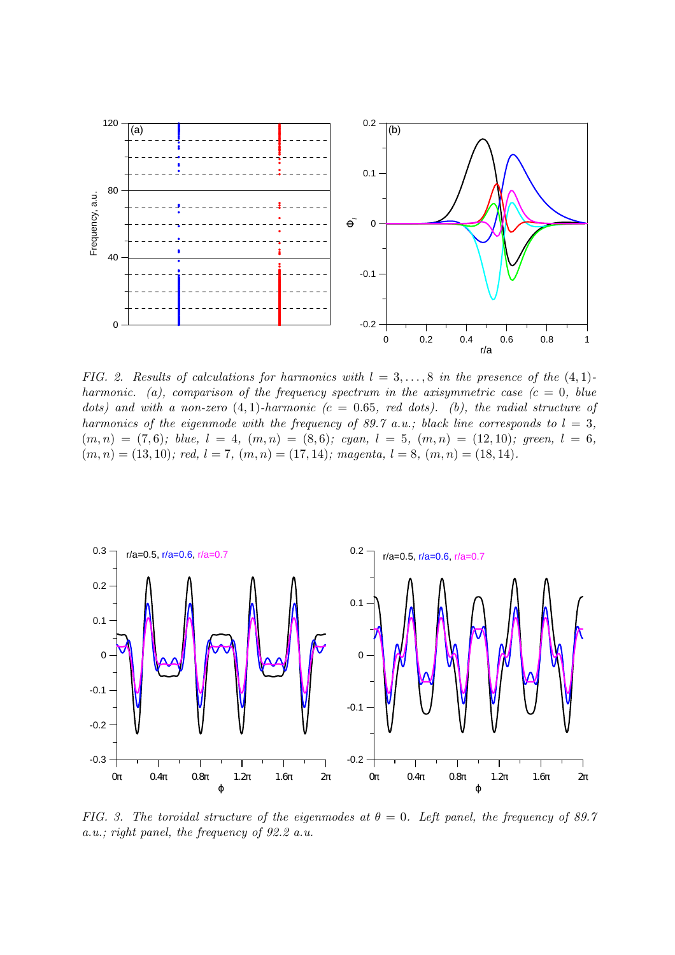

FIG. 2. Results of calculations for harmonics with  $l = 3, \ldots, 8$  in the presence of the  $(4, 1)$ harmonic. (a), comparison of the frequency spectrum in the axisymmetric case  $(c = 0, blue)$ dots) and with a non-zero  $(4, 1)$ -harmonic  $(c = 0.65, red dots)$ . (b), the radial structure of harmonics of the eigenmode with the frequency of 89.7 a.u.; black line corresponds to  $l = 3$ ,  $(m, n) = (7, 6); blue, l = 4, (m, n) = (8, 6); cyan, l = 5, (m, n) = (12, 10); green, l = 6,$  $(m, n) = (13, 10);$  red,  $l = 7, (m, n) = (17, 14);$  magenta,  $l = 8, (m, n) = (18, 14).$ 



FIG. 3. The toroidal structure of the eigenmodes at  $\theta = 0$ . Left panel, the frequency of 89.7 a.u.; right panel, the frequency of 92.2 a.u.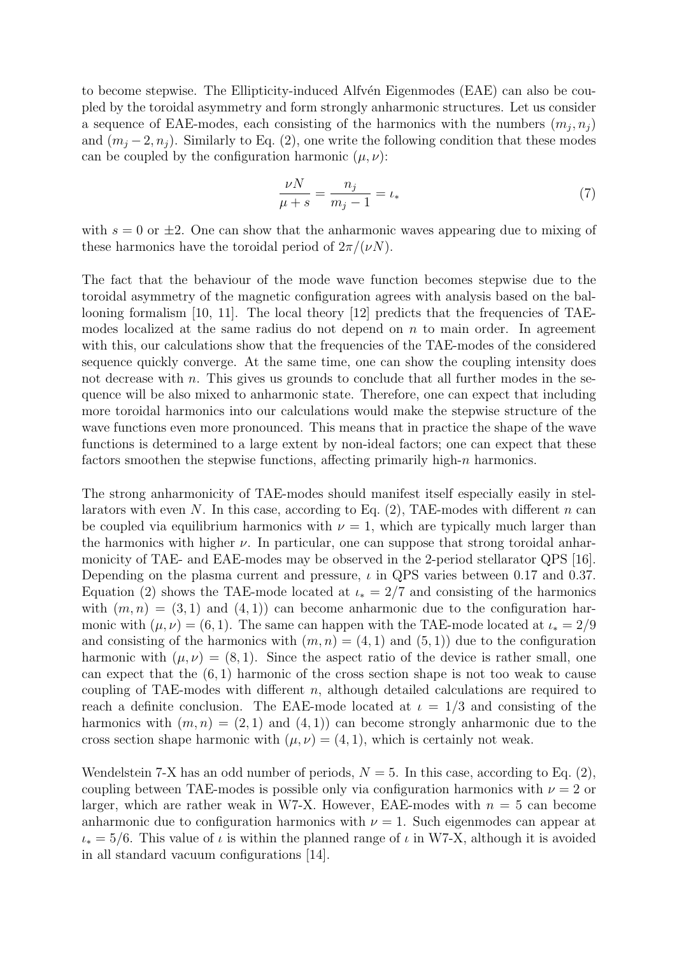to become stepwise. The Ellipticity-induced Alfven Eigenmodes (EAE) can also be coupled by the toroidal asymmetry and form strongly anharmonic structures. Let us consider a sequence of EAE-modes, each consisting of the harmonics with the numbers  $(m_j, n_j)$ and  $(m_i-2, n_i)$ . Similarly to Eq. (2), one write the following condition that these modes can be coupled by the configuration harmonic  $(\mu, \nu)$ :

$$
\frac{\nu N}{\mu + s} = \frac{n_j}{m_j - 1} = \iota_*\tag{7}
$$

with  $s = 0$  or  $\pm 2$ . One can show that the anharmonic waves appearing due to mixing of these harmonics have the toroidal period of  $2\pi/(\nu N)$ .

The fact that the behaviour of the mode wave function becomes stepwise due to the toroidal asymmetry of the magnetic configuration agrees with analysis based on the ballooning formalism [10, 11]. The local theory [12] predicts that the frequencies of TAEmodes localized at the same radius do not depend on  $n$  to main order. In agreement with this, our calculations show that the frequencies of the TAE-modes of the considered sequence quickly converge. At the same time, one can show the coupling intensity does not decrease with  $n$ . This gives us grounds to conclude that all further modes in the sequence will be also mixed to anharmonic state. Therefore, one can expect that including more toroidal harmonics into our calculations would make the stepwise structure of the wave functions even more pronounced. This means that in practice the shape of the wave functions is determined to a large extent by non-ideal factors; one can expect that these factors smoothen the stepwise functions, affecting primarily high-n harmonics.

The strong anharmonicity of TAE-modes should manifest itself especially easily in stellarators with even N. In this case, according to Eq.  $(2)$ , TAE-modes with different n can be coupled via equilibrium harmonics with  $\nu = 1$ , which are typically much larger than the harmonics with higher  $\nu$ . In particular, one can suppose that strong toroidal anharmonicity of TAE- and EAE-modes may be observed in the 2-period stellarator QPS [16]. Depending on the plasma current and pressure,  $\iota$  in QPS varies between 0.17 and 0.37. Equation (2) shows the TAE-mode located at  $\iota_* = 2/7$  and consisting of the harmonics with  $(m, n) = (3, 1)$  and  $(4, 1)$  can become anharmonic due to the configuration harmonic with  $(\mu, \nu) = (6, 1)$ . The same can happen with the TAE-mode located at  $\iota_* = 2/9$ and consisting of the harmonics with  $(m, n) = (4, 1)$  and  $(5, 1)$  due to the configuration harmonic with  $(\mu, \nu) = (8, 1)$ . Since the aspect ratio of the device is rather small, one can expect that the  $(6, 1)$  harmonic of the cross section shape is not too weak to cause coupling of TAE-modes with different  $n$ , although detailed calculations are required to reach a definite conclusion. The EAE-mode located at  $\iota = 1/3$  and consisting of the harmonics with  $(m, n) = (2, 1)$  and  $(4, 1)$  can become strongly anharmonic due to the cross section shape harmonic with  $(\mu, \nu) = (4, 1)$ , which is certainly not weak.

Wendelstein 7-X has an odd number of periods,  $N = 5$ . In this case, according to Eq. (2), coupling between TAE-modes is possible only via configuration harmonics with  $\nu = 2$  or larger, which are rather weak in W7-X. However, EAE-modes with  $n = 5$  can become anharmonic due to configuration harmonics with  $\nu = 1$ . Such eigenmodes can appear at  $\iota_* = 5/6$ . This value of  $\iota$  is within the planned range of  $\iota$  in W7-X, although it is avoided in all standard vacuum configurations [14].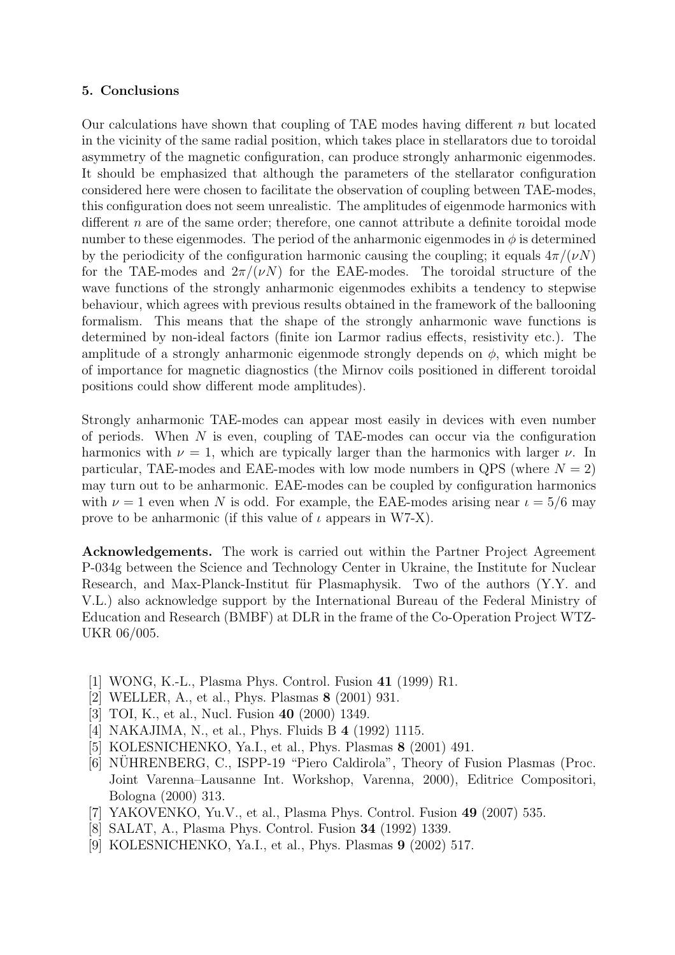## 5. Conclusions

Our calculations have shown that coupling of TAE modes having different  $n$  but located in the vicinity of the same radial position, which takes place in stellarators due to toroidal asymmetry of the magnetic configuration, can produce strongly anharmonic eigenmodes. It should be emphasized that although the parameters of the stellarator configuration considered here were chosen to facilitate the observation of coupling between TAE-modes, this configuration does not seem unrealistic. The amplitudes of eigenmode harmonics with different n are of the same order; therefore, one cannot attribute a definite toroidal mode number to these eigenmodes. The period of the anharmonic eigenmodes in  $\phi$  is determined by the periodicity of the configuration harmonic causing the coupling; it equals  $4\pi/(\nu N)$ for the TAE-modes and  $2\pi/(\nu N)$  for the EAE-modes. The toroidal structure of the wave functions of the strongly anharmonic eigenmodes exhibits a tendency to stepwise behaviour, which agrees with previous results obtained in the framework of the ballooning formalism. This means that the shape of the strongly anharmonic wave functions is determined by non-ideal factors (finite ion Larmor radius effects, resistivity etc.). The amplitude of a strongly anharmonic eigenmode strongly depends on  $\phi$ , which might be of importance for magnetic diagnostics (the Mirnov coils positioned in different toroidal positions could show different mode amplitudes).

Strongly anharmonic TAE-modes can appear most easily in devices with even number of periods. When  $N$  is even, coupling of TAE-modes can occur via the configuration harmonics with  $\nu = 1$ , which are typically larger than the harmonics with larger  $\nu$ . In particular, TAE-modes and EAE-modes with low mode numbers in QPS (where  $N = 2$ ) may turn out to be anharmonic. EAE-modes can be coupled by configuration harmonics with  $\nu = 1$  even when N is odd. For example, the EAE-modes arising near  $\iota = 5/6$  may prove to be anharmonic (if this value of  $\iota$  appears in W7-X).

Acknowledgements. The work is carried out within the Partner Project Agreement P-034g between the Science and Technology Center in Ukraine, the Institute for Nuclear Research, and Max-Planck-Institut für Plasmaphysik. Two of the authors (Y.Y. and V.L.) also acknowledge support by the International Bureau of the Federal Ministry of Education and Research (BMBF) at DLR in the frame of the Co-Operation Project WTZ-UKR 06/005.

- [1] WONG, K.-L., Plasma Phys. Control. Fusion 41 (1999) R1.
- [2] WELLER, A., et al., Phys. Plasmas 8 (2001) 931.
- [3] TOI, K., et al., Nucl. Fusion **40** (2000) 1349.
- [4] NAKAJIMA, N., et al., Phys. Fluids B 4 (1992) 1115.
- [5] KOLESNICHENKO, Ya.I., et al., Phys. Plasmas 8 (2001) 491.
- [6] NUHRENBERG, C., ISPP-19 "Piero Caldirola", Theory of Fusion Plasmas (Proc. Joint Varenna–Lausanne Int. Workshop, Varenna, 2000), Editrice Compositori, Bologna (2000) 313.
- [7] YAKOVENKO, Yu.V., et al., Plasma Phys. Control. Fusion 49 (2007) 535.
- [8] SALAT, A., Plasma Phys. Control. Fusion 34 (1992) 1339.
- [9] KOLESNICHENKO, Ya.I., et al., Phys. Plasmas 9 (2002) 517.